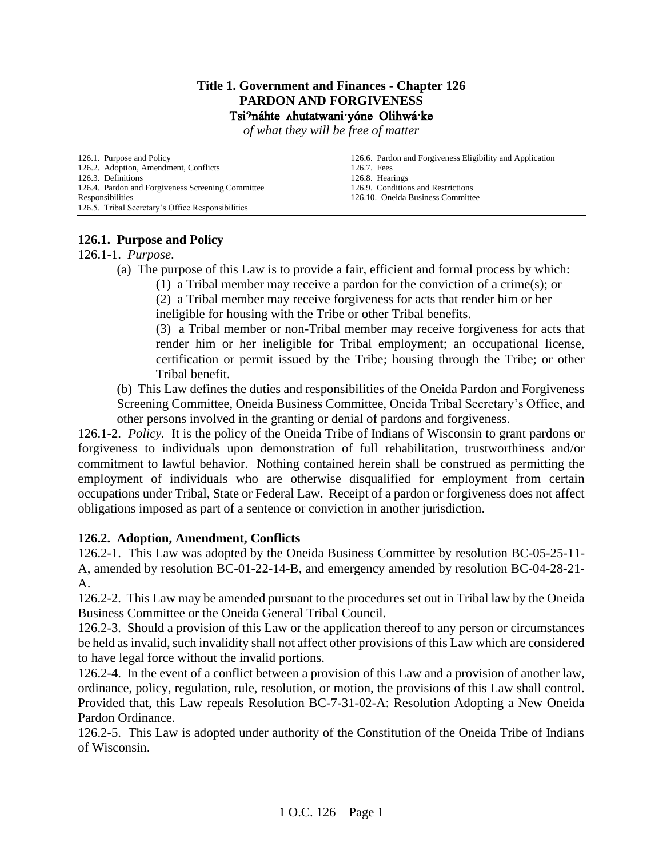#### **Title 1. Government and Finances - Chapter 126 PARDON AND FORGIVENESS** Tsi?náhte Ahutatwani yóne Olihwá ke

*of what they will be free of matter*

[126.1. Purpose and Policy](#page-0-0) [126.2. Adoption, Amendment, Conflicts](#page-0-1) [126.3. Definitions](#page-0-2) [126.4. Pardon and Forgiveness Screening Committee](#page-1-0)  [Responsibilities](#page-1-0) [126.5. Tribal Secretary's Office Responsibilities](#page-2-0)

[126.6. Pardon and Forgiveness Eligibility and Application](#page-2-1) [126.7. Fees](#page-4-0) [126.8. Hearings](#page-4-1) [126.9. Conditions](#page-5-0) and Restrictions [126.10. Oneida Business Committee](#page-6-0)

# <span id="page-0-0"></span>**126.1. Purpose and Policy**

126.1-1. *Purpose*.

- (a) The purpose of this Law is to provide a fair, efficient and formal process by which:
	- (1) a Tribal member may receive a pardon for the conviction of a crime(s); or

(2) a Tribal member may receive forgiveness for acts that render him or her ineligible for housing with the Tribe or other Tribal benefits.

(3) a Tribal member or non-Tribal member may receive forgiveness for acts that render him or her ineligible for Tribal employment; an occupational license, certification or permit issued by the Tribe; housing through the Tribe; or other Tribal benefit.

(b) This Law defines the duties and responsibilities of the Oneida Pardon and Forgiveness Screening Committee, Oneida Business Committee, Oneida Tribal Secretary's Office, and other persons involved in the granting or denial of pardons and forgiveness.

126.1-2. *Policy.* It is the policy of the Oneida Tribe of Indians of Wisconsin to grant pardons or forgiveness to individuals upon demonstration of full rehabilitation, trustworthiness and/or commitment to lawful behavior. Nothing contained herein shall be construed as permitting the employment of individuals who are otherwise disqualified for employment from certain occupations under Tribal, State or Federal Law. Receipt of a pardon or forgiveness does not affect obligations imposed as part of a sentence or conviction in another jurisdiction.

# <span id="page-0-1"></span>**126.2. Adoption, Amendment, Conflicts**

126.2-1. This Law was adopted by the Oneida Business Committee by resolution BC-05-25-11- A, amended by resolution BC-01-22-14-B, and emergency amended by resolution BC-04-28-21- A.

126.2-2. This Law may be amended pursuant to the procedures set out in Tribal law by the Oneida Business Committee or the Oneida General Tribal Council.

126.2-3. Should a provision of this Law or the application thereof to any person or circumstances be held as invalid, such invalidity shall not affect other provisions of this Law which are considered to have legal force without the invalid portions.

126.2-4. In the event of a conflict between a provision of this Law and a provision of another law, ordinance, policy, regulation, rule, resolution, or motion, the provisions of this Law shall control. Provided that, this Law repeals Resolution BC-7-31-02-A: Resolution Adopting a New Oneida Pardon Ordinance.

<span id="page-0-2"></span>126.2-5. This Law is adopted under authority of the Constitution of the Oneida Tribe of Indians of Wisconsin.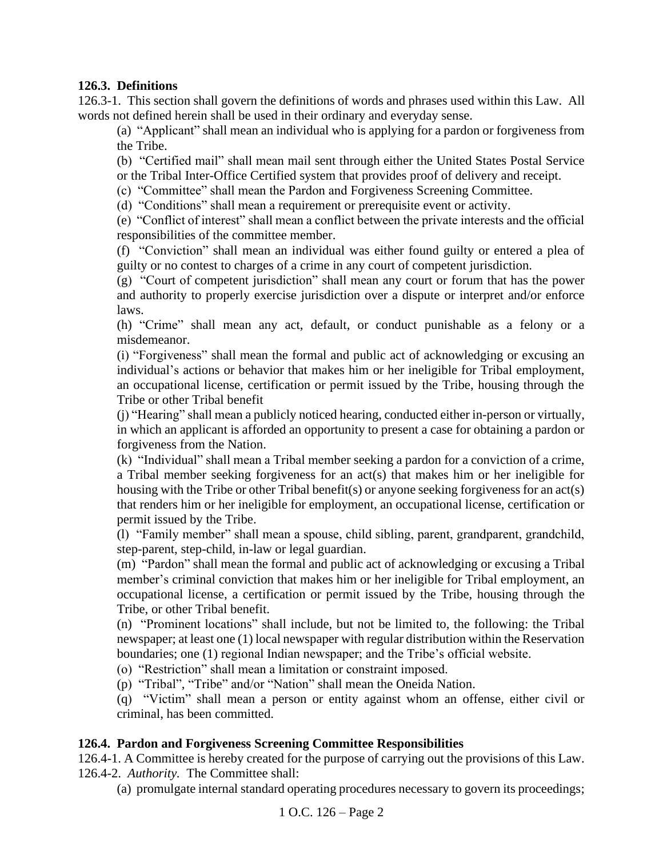# **126.3. Definitions**

126.3-1. This section shall govern the definitions of words and phrases used within this Law. All words not defined herein shall be used in their ordinary and everyday sense.

(a) "Applicant" shall mean an individual who is applying for a pardon or forgiveness from the Tribe.

(b) "Certified mail" shall mean mail sent through either the United States Postal Service or the Tribal Inter-Office Certified system that provides proof of delivery and receipt.

(c) "Committee" shall mean the Pardon and Forgiveness Screening Committee.

(d) "Conditions" shall mean a requirement or prerequisite event or activity.

(e) "Conflict of interest" shall mean a conflict between the private interests and the official responsibilities of the committee member.

(f) "Conviction" shall mean an individual was either found guilty or entered a plea of guilty or no contest to charges of a crime in any court of competent jurisdiction.

(g) "Court of competent jurisdiction" shall mean any court or forum that has the power and authority to properly exercise jurisdiction over a dispute or interpret and/or enforce laws.

(h) "Crime" shall mean any act, default, or conduct punishable as a felony or a misdemeanor.

(i) "Forgiveness" shall mean the formal and public act of acknowledging or excusing an individual's actions or behavior that makes him or her ineligible for Tribal employment, an occupational license, certification or permit issued by the Tribe, housing through the Tribe or other Tribal benefit

(j) "Hearing" shall mean a publicly noticed hearing, conducted either in-person or virtually, in which an applicant is afforded an opportunity to present a case for obtaining a pardon or forgiveness from the Nation.

(k) "Individual" shall mean a Tribal member seeking a pardon for a conviction of a crime, a Tribal member seeking forgiveness for an act(s) that makes him or her ineligible for housing with the Tribe or other Tribal benefit(s) or anyone seeking forgiveness for an act(s) that renders him or her ineligible for employment, an occupational license, certification or permit issued by the Tribe.

(l) "Family member" shall mean a spouse, child sibling, parent, grandparent, grandchild, step-parent, step-child, in-law or legal guardian.

(m) "Pardon" shall mean the formal and public act of acknowledging or excusing a Tribal member's criminal conviction that makes him or her ineligible for Tribal employment, an occupational license, a certification or permit issued by the Tribe, housing through the Tribe, or other Tribal benefit.

(n) "Prominent locations" shall include, but not be limited to, the following: the Tribal newspaper; at least one (1) local newspaper with regular distribution within the Reservation boundaries; one (1) regional Indian newspaper; and the Tribe's official website.

(o) "Restriction" shall mean a limitation or constraint imposed.

(p) "Tribal", "Tribe" and/or "Nation" shall mean the Oneida Nation.

(q) "Victim" shall mean a person or entity against whom an offense, either civil or criminal, has been committed.

# <span id="page-1-0"></span>**126.4. Pardon and Forgiveness Screening Committee Responsibilities**

126.4-1. A Committee is hereby created for the purpose of carrying out the provisions of this Law. 126.4-2. *Authority.* The Committee shall:

(a) promulgate internal standard operating procedures necessary to govern its proceedings;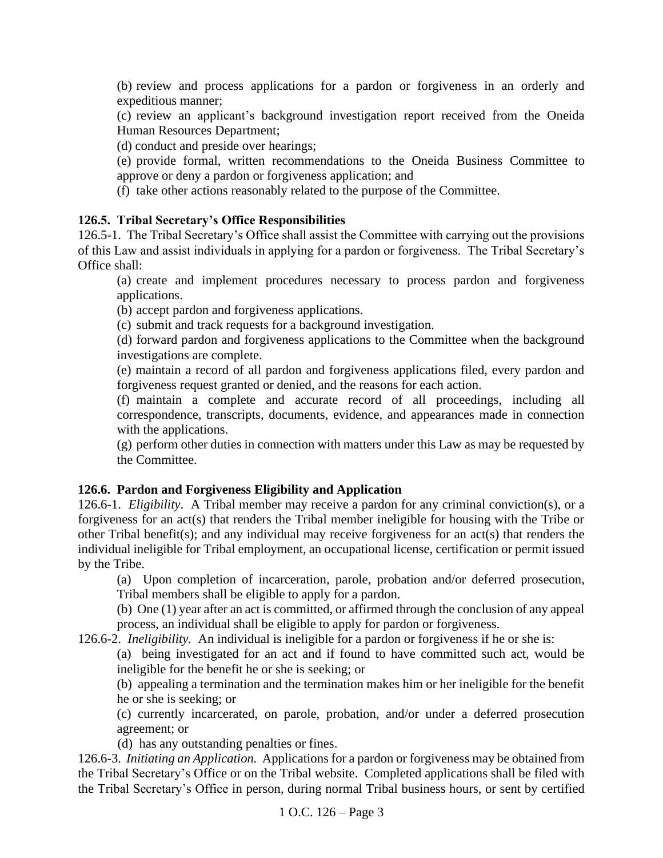(b) review and process applications for a pardon or forgiveness in an orderly and expeditious manner;

(c) review an applicant's background investigation report received from the Oneida Human Resources Department;

(d) conduct and preside over hearings;

(e) provide formal, written recommendations to the Oneida Business Committee to approve or deny a pardon or forgiveness application; and

(f) take other actions reasonably related to the purpose of the Committee.

### <span id="page-2-0"></span>**126.5. Tribal Secretary's Office Responsibilities**

126.5-1. The Tribal Secretary's Office shall assist the Committee with carrying out the provisions of this Law and assist individuals in applying for a pardon or forgiveness. The Tribal Secretary's Office shall:

(a) create and implement procedures necessary to process pardon and forgiveness applications.

(b) accept pardon and forgiveness applications.

(c) submit and track requests for a background investigation.

(d) forward pardon and forgiveness applications to the Committee when the background investigations are complete.

(e) maintain a record of all pardon and forgiveness applications filed, every pardon and forgiveness request granted or denied, and the reasons for each action.

(f) maintain a complete and accurate record of all proceedings, including all correspondence, transcripts, documents, evidence, and appearances made in connection with the applications.

(g) perform other duties in connection with matters under this Law as may be requested by the Committee.

#### <span id="page-2-1"></span>**126.6. Pardon and Forgiveness Eligibility and Application**

126.6-1. *Eligibility*. A Tribal member may receive a pardon for any criminal conviction(s), or a forgiveness for an act(s) that renders the Tribal member ineligible for housing with the Tribe or other Tribal benefit(s); and any individual may receive forgiveness for an act(s) that renders the individual ineligible for Tribal employment, an occupational license, certification or permit issued by the Tribe.

(a) Upon completion of incarceration, parole, probation and/or deferred prosecution, Tribal members shall be eligible to apply for a pardon.

(b) One (1) year after an act is committed, or affirmed through the conclusion of any appeal process, an individual shall be eligible to apply for pardon or forgiveness.

126.6-2. *Ineligibility.* An individual is ineligible for a pardon or forgiveness if he or she is:

(a) being investigated for an act and if found to have committed such act, would be ineligible for the benefit he or she is seeking; or

(b) appealing a termination and the termination makes him or her ineligible for the benefit he or she is seeking; or

(c) currently incarcerated, on parole, probation, and/or under a deferred prosecution agreement; or

(d) has any outstanding penalties or fines.

126.6-3. *Initiating an Application.* Applications for a pardon or forgiveness may be obtained from the Tribal Secretary's Office or on the Tribal website. Completed applications shall be filed with the Tribal Secretary's Office in person, during normal Tribal business hours, or sent by certified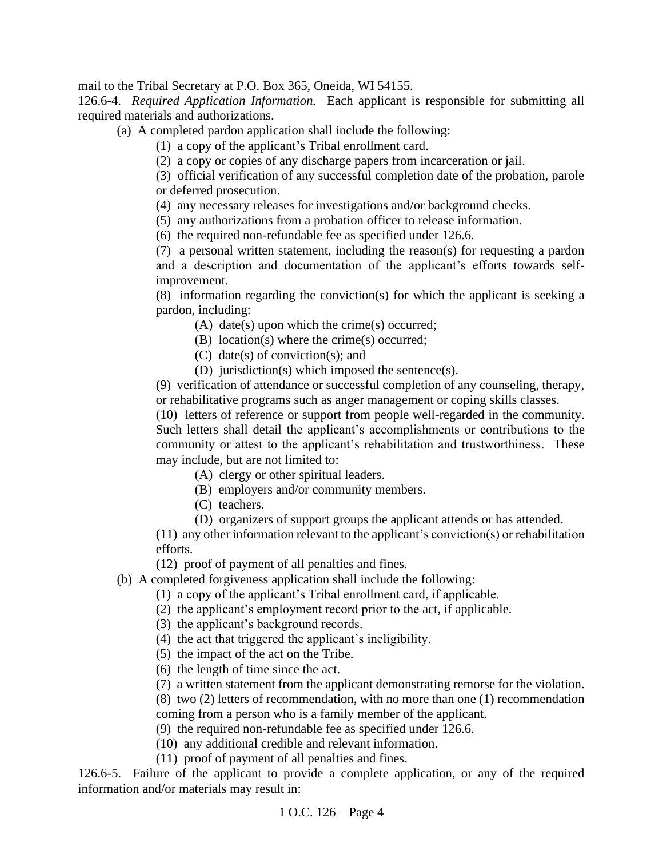mail to the Tribal Secretary at P.O. Box 365, Oneida, WI 54155.

126.6-4. *Required Application Information.* Each applicant is responsible for submitting all required materials and authorizations.

(a) A completed pardon application shall include the following:

(1) a copy of the applicant's Tribal enrollment card.

(2) a copy or copies of any discharge papers from incarceration or jail.

(3) official verification of any successful completion date of the probation, parole or deferred prosecution.

(4) any necessary releases for investigations and/or background checks.

(5) any authorizations from a probation officer to release information.

(6) the required non-refundable fee as specified under 126.6.

(7) a personal written statement, including the reason(s) for requesting a pardon and a description and documentation of the applicant's efforts towards selfimprovement.

(8) information regarding the conviction(s) for which the applicant is seeking a pardon, including:

(A) date(s) upon which the crime(s) occurred;

(B) location(s) where the crime(s) occurred;

- (C) date(s) of conviction(s); and
- (D) jurisdiction(s) which imposed the sentence(s).

(9) verification of attendance or successful completion of any counseling, therapy, or rehabilitative programs such as anger management or coping skills classes.

(10) letters of reference or support from people well-regarded in the community. Such letters shall detail the applicant's accomplishments or contributions to the community or attest to the applicant's rehabilitation and trustworthiness. These may include, but are not limited to:

(A) clergy or other spiritual leaders.

(B) employers and/or community members.

- (C) teachers.
- (D) organizers of support groups the applicant attends or has attended.

(11) any other information relevant to the applicant's conviction(s) or rehabilitation efforts.

(12) proof of payment of all penalties and fines.

(b) A completed forgiveness application shall include the following:

(1) a copy of the applicant's Tribal enrollment card, if applicable.

(2) the applicant's employment record prior to the act, if applicable.

(3) the applicant's background records.

(4) the act that triggered the applicant's ineligibility.

(5) the impact of the act on the Tribe.

(6) the length of time since the act.

(7) a written statement from the applicant demonstrating remorse for the violation.

(8) two (2) letters of recommendation, with no more than one (1) recommendation

coming from a person who is a family member of the applicant.

(9) the required non-refundable fee as specified under 126.6.

(10) any additional credible and relevant information.

(11) proof of payment of all penalties and fines.

126.6-5. Failure of the applicant to provide a complete application, or any of the required information and/or materials may result in: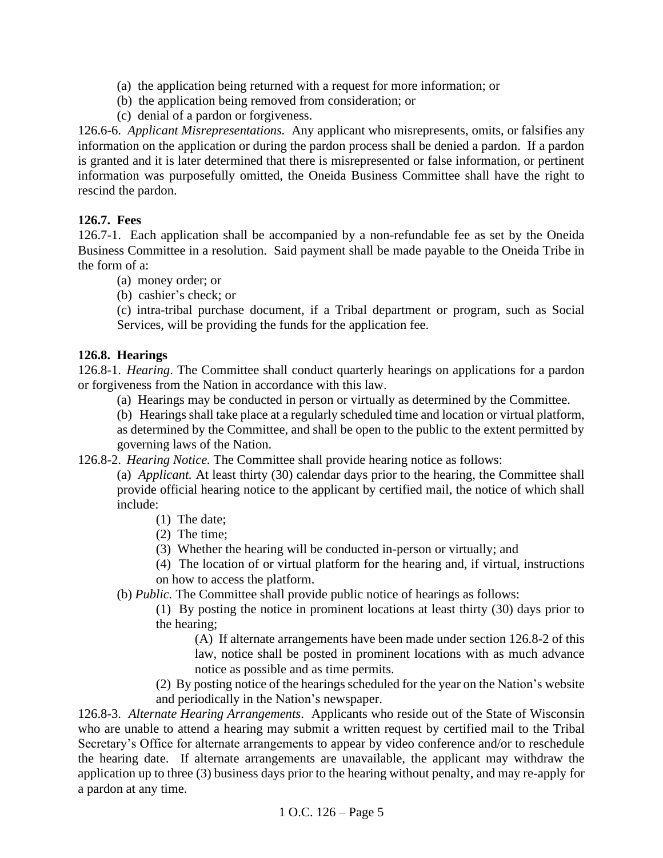- (a) the application being returned with a request for more information; or
- (b) the application being removed from consideration; or
- (c) denial of a pardon or forgiveness.

126.6-6. *Applicant Misrepresentations.* Any applicant who misrepresents, omits, or falsifies any information on the application or during the pardon process shall be denied a pardon. If a pardon is granted and it is later determined that there is misrepresented or false information, or pertinent information was purposefully omitted, the Oneida Business Committee shall have the right to rescind the pardon.

### <span id="page-4-0"></span>**126.7. Fees**

126.7-1. Each application shall be accompanied by a non-refundable fee as set by the Oneida Business Committee in a resolution. Said payment shall be made payable to the Oneida Tribe in the form of a:

- (a) money order; or
- (b) cashier's check; or

(c) intra-tribal purchase document, if a Tribal department or program, such as Social Services, will be providing the funds for the application fee.

#### <span id="page-4-1"></span>**126.8. Hearings**

126.8-1. *Hearing*. The Committee shall conduct quarterly hearings on applications for a pardon or forgiveness from the Nation in accordance with this law.

(a) Hearings may be conducted in person or virtually as determined by the Committee.

(b) Hearings shall take place at a regularly scheduled time and location or virtual platform, as determined by the Committee, and shall be open to the public to the extent permitted by governing laws of the Nation.

126.8-2. *Hearing Notice.* The Committee shall provide hearing notice as follows:

(a) *Applicant.* At least thirty (30) calendar days prior to the hearing, the Committee shall provide official hearing notice to the applicant by certified mail, the notice of which shall include:

- (1) The date;
- (2) The time;
- (3) Whether the hearing will be conducted in-person or virtually; and

(4) The location of or virtual platform for the hearing and, if virtual, instructions on how to access the platform.

(b) *Public.* The Committee shall provide public notice of hearings as follows:

(1) By posting the notice in prominent locations at least thirty (30) days prior to the hearing;

(A) If alternate arrangements have been made under section 126.8-2 of this law, notice shall be posted in prominent locations with as much advance notice as possible and as time permits.

(2) By posting notice of the hearings scheduled for the year on the Nation's website and periodically in the Nation's newspaper.

126.8-3. *Alternate Hearing Arrangements*. Applicants who reside out of the State of Wisconsin who are unable to attend a hearing may submit a written request by certified mail to the Tribal Secretary's Office for alternate arrangements to appear by video conference and/or to reschedule the hearing date. If alternate arrangements are unavailable, the applicant may withdraw the application up to three (3) business days prior to the hearing without penalty, and may re-apply for a pardon at any time.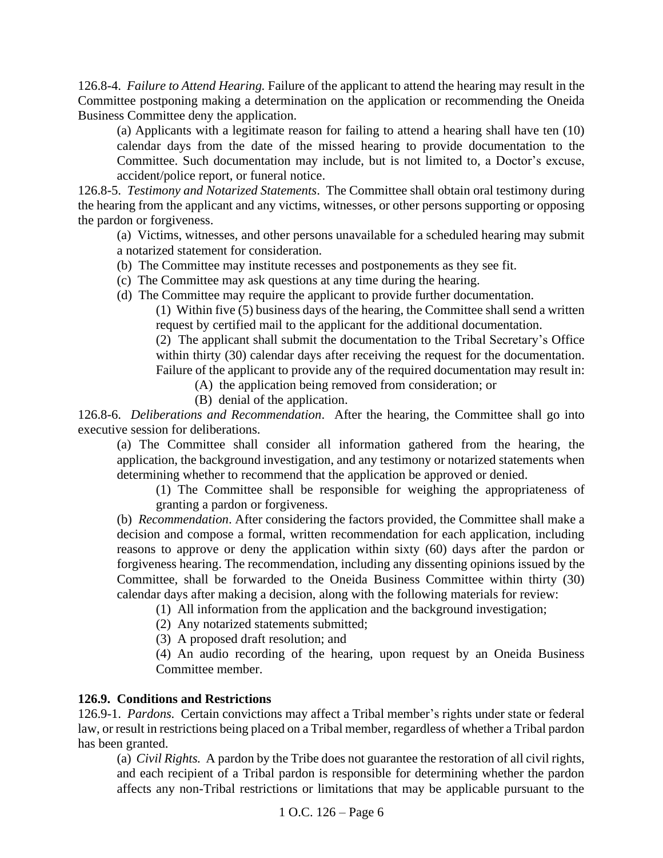126.8-4. *Failure to Attend Hearing.* Failure of the applicant to attend the hearing may result in the Committee postponing making a determination on the application or recommending the Oneida Business Committee deny the application.

(a) Applicants with a legitimate reason for failing to attend a hearing shall have ten (10) calendar days from the date of the missed hearing to provide documentation to the Committee. Such documentation may include, but is not limited to, a Doctor's excuse, accident/police report, or funeral notice.

126.8-5. *Testimony and Notarized Statements*. The Committee shall obtain oral testimony during the hearing from the applicant and any victims, witnesses, or other persons supporting or opposing the pardon or forgiveness.

(a) Victims, witnesses, and other persons unavailable for a scheduled hearing may submit a notarized statement for consideration.

- (b) The Committee may institute recesses and postponements as they see fit.
- (c) The Committee may ask questions at any time during the hearing.
- (d) The Committee may require the applicant to provide further documentation.

(1) Within five (5) business days of the hearing, the Committee shall send a written request by certified mail to the applicant for the additional documentation.

(2) The applicant shall submit the documentation to the Tribal Secretary's Office within thirty (30) calendar days after receiving the request for the documentation. Failure of the applicant to provide any of the required documentation may result in:

- (A) the application being removed from consideration; or
- (B) denial of the application.

126.8-6. *Deliberations and Recommendation*. After the hearing, the Committee shall go into executive session for deliberations.

(a) The Committee shall consider all information gathered from the hearing, the application, the background investigation, and any testimony or notarized statements when determining whether to recommend that the application be approved or denied.

(1) The Committee shall be responsible for weighing the appropriateness of granting a pardon or forgiveness.

(b) *Recommendation*. After considering the factors provided, the Committee shall make a decision and compose a formal, written recommendation for each application, including reasons to approve or deny the application within sixty (60) days after the pardon or forgiveness hearing. The recommendation, including any dissenting opinions issued by the Committee, shall be forwarded to the Oneida Business Committee within thirty (30) calendar days after making a decision, along with the following materials for review:

(1) All information from the application and the background investigation;

(2) Any notarized statements submitted;

(3) A proposed draft resolution; and

(4) An audio recording of the hearing, upon request by an Oneida Business Committee member.

#### <span id="page-5-0"></span>**126.9. Conditions and Restrictions**

126.9-1. *Pardons.* Certain convictions may affect a Tribal member's rights under state or federal law, or result in restrictions being placed on a Tribal member, regardless of whether a Tribal pardon has been granted.

(a) *Civil Rights.* A pardon by the Tribe does not guarantee the restoration of all civil rights, and each recipient of a Tribal pardon is responsible for determining whether the pardon affects any non-Tribal restrictions or limitations that may be applicable pursuant to the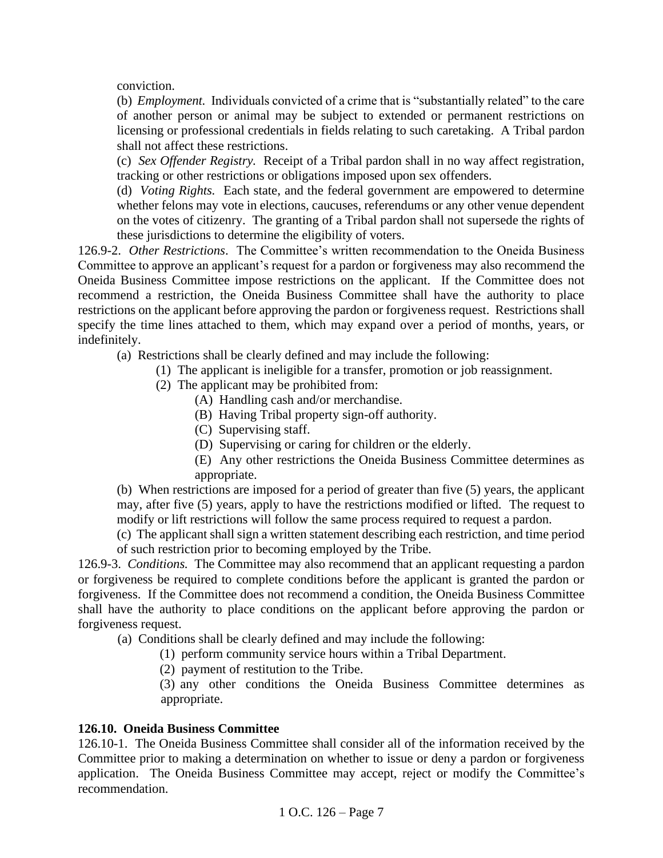conviction.

(b) *Employment.* Individuals convicted of a crime that is "substantially related" to the care of another person or animal may be subject to extended or permanent restrictions on licensing or professional credentials in fields relating to such caretaking. A Tribal pardon shall not affect these restrictions.

(c) *Sex Offender Registry.* Receipt of a Tribal pardon shall in no way affect registration, tracking or other restrictions or obligations imposed upon sex offenders.

(d) *Voting Rights.* Each state, and the federal government are empowered to determine whether felons may vote in elections, caucuses, referendums or any other venue dependent on the votes of citizenry. The granting of a Tribal pardon shall not supersede the rights of these jurisdictions to determine the eligibility of voters.

126.9-2. *Other Restrictions*. The Committee's written recommendation to the Oneida Business Committee to approve an applicant's request for a pardon or forgiveness may also recommend the Oneida Business Committee impose restrictions on the applicant. If the Committee does not recommend a restriction, the Oneida Business Committee shall have the authority to place restrictions on the applicant before approving the pardon or forgiveness request. Restrictions shall specify the time lines attached to them, which may expand over a period of months, years, or indefinitely.

(a) Restrictions shall be clearly defined and may include the following:

(1) The applicant is ineligible for a transfer, promotion or job reassignment.

- (2) The applicant may be prohibited from:
	- (A) Handling cash and/or merchandise.
	- (B) Having Tribal property sign-off authority.
	- (C) Supervising staff.
	- (D) Supervising or caring for children or the elderly.

(E) Any other restrictions the Oneida Business Committee determines as appropriate.

(b) When restrictions are imposed for a period of greater than five (5) years, the applicant may, after five (5) years, apply to have the restrictions modified or lifted. The request to modify or lift restrictions will follow the same process required to request a pardon.

(c) The applicant shall sign a written statement describing each restriction, and time period of such restriction prior to becoming employed by the Tribe.

126.9-3. *Conditions.* The Committee may also recommend that an applicant requesting a pardon or forgiveness be required to complete conditions before the applicant is granted the pardon or forgiveness. If the Committee does not recommend a condition, the Oneida Business Committee shall have the authority to place conditions on the applicant before approving the pardon or forgiveness request.

(a) Conditions shall be clearly defined and may include the following:

(1) perform community service hours within a Tribal Department.

(2) payment of restitution to the Tribe.

 (3) any other conditions the Oneida Business Committee determines as appropriate.

#### <span id="page-6-0"></span>**126.10. Oneida Business Committee**

126.10-1. The Oneida Business Committee shall consider all of the information received by the Committee prior to making a determination on whether to issue or deny a pardon or forgiveness application. The Oneida Business Committee may accept, reject or modify the Committee's recommendation.